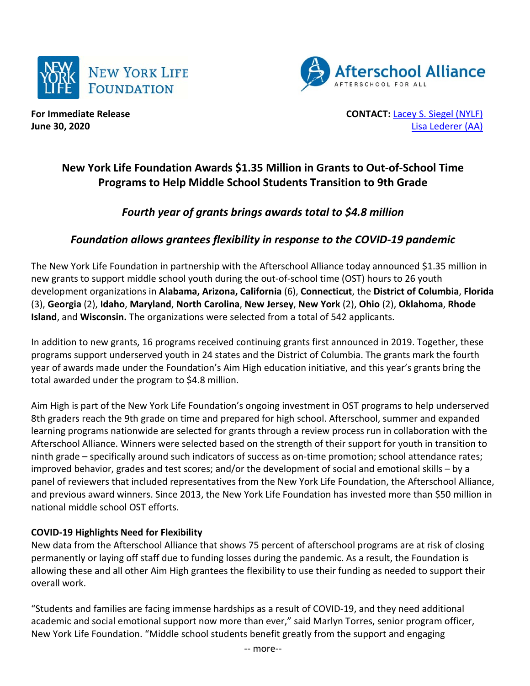



**For Immediate Release CONTACT:** [Lacey S. Siegel \(NYLF\)](mailto:lacey_s_siegel@newyorklife.com?subject=New%20York%20Life%20Fdtn/Afterschool%20Alliance) **June 30, 2020** [Lisa Lederer \(AA\)](mailto:lisa@prsolutionsdc.com?subject=New%20York%20Life%20Fdtn/Afterschool%20Alliance)

# **New York Life Foundation Awards \$1.35 Million in Grants to Out-of-School Time Programs to Help Middle School Students Transition to 9th Grade**

# *Fourth year of grants brings awards total to \$4.8 million*

# *Foundation allows grantees flexibility in response to the COVID-19 pandemic*

The New York Life Foundation in partnership with the Afterschool Alliance today announced \$1.35 million in new grants to support middle school youth during the out-of-school time (OST) hours to 26 youth development organizations in **Alabama, Arizona, California** (6), **Connecticut**, the **District of Columbia**, **Florida** (3), **Georgia** (2), **Idaho**, **Maryland**, **North Carolina**, **New Jersey**, **New York** (2), **Ohio** (2), **Oklahoma**, **Rhode Island**, and **Wisconsin.** The organizations were selected from a total of 542 applicants.

In addition to new grants, 16 programs received continuing grants first announced in 2019. Together, these programs support underserved youth in 24 states and the District of Columbia. The grants mark the fourth year of awards made under the Foundation's Aim High education initiative, and this year's grants bring the total awarded under the program to \$4.8 million.

Aim High is part of the New York Life Foundation's ongoing investment in OST programs to help underserved 8th graders reach the 9th grade on time and prepared for high school. Afterschool, summer and expanded learning programs nationwide are selected for grants through a review process run in collaboration with the Afterschool Alliance. Winners were selected based on the strength of their support for youth in transition to ninth grade – specifically around such indicators of success as on-time promotion; school attendance rates; improved behavior, grades and test scores; and/or the development of social and emotional skills – by a panel of reviewers that included representatives from the New York Life Foundation, the Afterschool Alliance, and previous award winners. Since 2013, the New York Life Foundation has invested more than \$50 million in national middle school OST efforts.

# **COVID-19 Highlights Need for Flexibility**

New data from the Afterschool Alliance that shows 75 percent of afterschool programs are at risk of closing permanently or laying off staff due to funding losses during the pandemic. As a result, the Foundation is allowing these and all other Aim High grantees the flexibility to use their funding as needed to support their overall work.

"Students and families are facing immense hardships as a result of COVID-19, and they need additional academic and social emotional support now more than ever," said Marlyn Torres, senior program officer, New York Life Foundation. "Middle school students benefit greatly from the support and engaging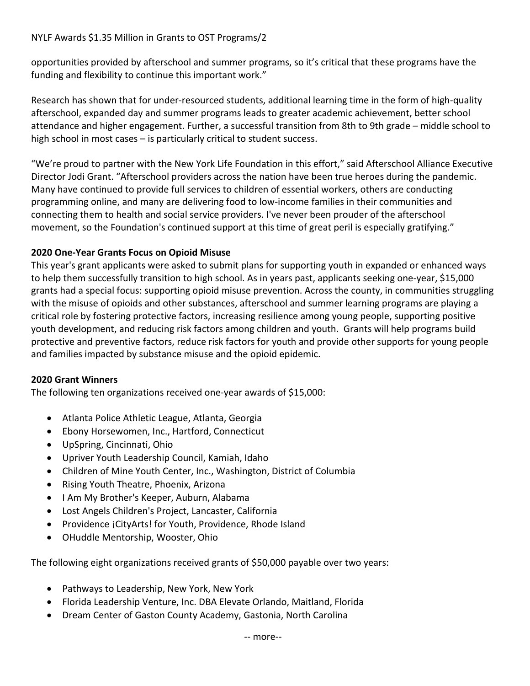## NYLF Awards \$1.35 Million in Grants to OST Programs/2

opportunities provided by afterschool and summer programs, so it's critical that these programs have the funding and flexibility to continue this important work."

Research has shown that for under-resourced students, additional learning time in the form of high-quality afterschool, expanded day and summer programs leads to greater academic achievement, better school attendance and higher engagement. Further, a successful transition from 8th to 9th grade – middle school to high school in most cases – is particularly critical to student success.

"We're proud to partner with the New York Life Foundation in this effort," said Afterschool Alliance Executive Director Jodi Grant. "Afterschool providers across the nation have been true heroes during the pandemic. Many have continued to provide full services to children of essential workers, others are conducting programming online, and many are delivering food to low-income families in their communities and connecting them to health and social service providers. I've never been prouder of the afterschool movement, so the Foundation's continued support at this time of great peril is especially gratifying."

# **2020 One-Year Grants Focus on Opioid Misuse**

This year's grant applicants were asked to submit plans for supporting youth in expanded or enhanced ways to help them successfully transition to high school. As in years past, applicants seeking one-year, \$15,000 grants had a special focus: supporting opioid misuse prevention. Across the county, in communities struggling with the misuse of opioids and other substances, afterschool and summer learning programs are playing a critical role by fostering protective factors, increasing resilience among young people, supporting positive youth development, and reducing risk factors among children and youth. Grants will help programs build protective and preventive factors, reduce risk factors for youth and provide other supports for young people and families impacted by substance misuse and the opioid epidemic.

### **2020 Grant Winners**

The following ten organizations received one-year awards of \$15,000:

- Atlanta Police Athletic League, Atlanta, Georgia
- Ebony Horsewomen, Inc., Hartford, Connecticut
- UpSpring, Cincinnati, Ohio
- Upriver Youth Leadership Council, Kamiah, Idaho
- Children of Mine Youth Center, Inc., Washington, District of Columbia
- Rising Youth Theatre, Phoenix, Arizona
- I Am My Brother's Keeper, Auburn, Alabama
- Lost Angels Children's Project, Lancaster, California
- Providence ¡CityArts! for Youth, Providence, Rhode Island
- OHuddle Mentorship, Wooster, Ohio

The following eight organizations received grants of \$50,000 payable over two years:

- Pathways to Leadership, New York, New York
- Florida Leadership Venture, Inc. DBA Elevate Orlando, Maitland, Florida
- Dream Center of Gaston County Academy, Gastonia, North Carolina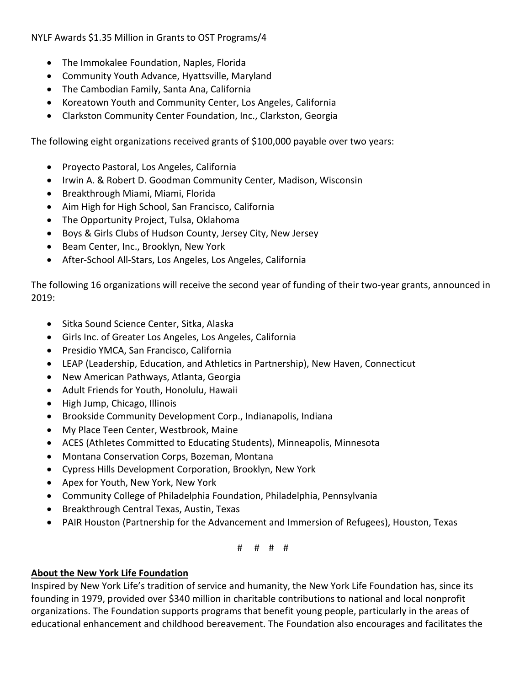NYLF Awards \$1.35 Million in Grants to OST Programs/4

- The Immokalee Foundation, Naples, Florida
- Community Youth Advance, Hyattsville, Maryland
- The Cambodian Family, Santa Ana, California
- Koreatown Youth and Community Center, Los Angeles, California
- Clarkston Community Center Foundation, Inc., Clarkston, Georgia

The following eight organizations received grants of \$100,000 payable over two years:

- Proyecto Pastoral, Los Angeles, California
- Irwin A. & Robert D. Goodman Community Center, Madison, Wisconsin
- Breakthrough Miami, Miami, Florida
- Aim High for High School, San Francisco, California
- The Opportunity Project, Tulsa, Oklahoma
- Boys & Girls Clubs of Hudson County, Jersey City, New Jersey
- Beam Center, Inc., Brooklyn, New York
- After-School All-Stars, Los Angeles, Los Angeles, California

The following 16 organizations will receive the second year of funding of their two-year grants, announced in 2019:

- Sitka Sound Science Center, Sitka, Alaska
- Girls Inc. of Greater Los Angeles, Los Angeles, California
- Presidio YMCA, San Francisco, California
- LEAP (Leadership, Education, and Athletics in Partnership), New Haven, Connecticut
- New American Pathways, Atlanta, Georgia
- Adult Friends for Youth, Honolulu, Hawaii
- High Jump, Chicago, Illinois
- Brookside Community Development Corp., Indianapolis, Indiana
- My Place Teen Center, Westbrook, Maine
- ACES (Athletes Committed to Educating Students), Minneapolis, Minnesota
- Montana Conservation Corps, Bozeman, Montana
- Cypress Hills Development Corporation, Brooklyn, New York
- Apex for Youth, New York, New York
- Community College of Philadelphia Foundation, Philadelphia, Pennsylvania
- Breakthrough Central Texas, Austin, Texas
- PAIR Houston (Partnership for the Advancement and Immersion of Refugees), Houston, Texas

### # # # #

### **About the New York Life Foundation**

Inspired by New York Life's tradition of service and humanity, the New York Life Foundation has, since its founding in 1979, provided over \$340 million in charitable contributions to national and local nonprofit organizations. The Foundation supports programs that benefit young people, particularly in the areas of educational enhancement and childhood bereavement. The Foundation also encourages and facilitates the